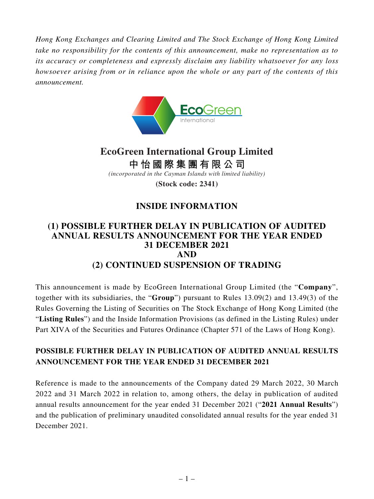*Hong Kong Exchanges and Clearing Limited and The Stock Exchange of Hong Kong Limited take no responsibility for the contents of this announcement, make no representation as to its accuracy or completeness and expressly disclaim any liability whatsoever for any loss howsoever arising from or in reliance upon the whole or any part of the contents of this announcement.*



# **EcoGreen International Group Limited**

**中怡國際集團有限公司**

*(incorporated in the Cayman Islands with limited liability)*

**(Stock code: 2341)**

## **INSIDE INFORMATION**

## **(1) POSSIBLE FURTHER DELAY IN PUBLICATION OF AUDITED ANNUAL RESULTS ANNOUNCEMENT FOR THE YEAR ENDED 31 DECEMBER 2021 AND (2) CONTINUED SUSPENSION OF TRADING**

This announcement is made by EcoGreen International Group Limited (the "**Company**", together with its subsidiaries, the "**Group**") pursuant to Rules 13.09(2) and 13.49(3) of the Rules Governing the Listing of Securities on The Stock Exchange of Hong Kong Limited (the "**Listing Rules**") and the Inside Information Provisions (as defined in the Listing Rules) under Part XIVA of the Securities and Futures Ordinance (Chapter 571 of the Laws of Hong Kong).

#### **POSSIBLE FURTHER DELAY IN PUBLICATION OF AUDITED ANNUAL RESULTS ANNOUNCEMENT FOR THE YEAR ENDED 31 DECEMBER 2021**

Reference is made to the announcements of the Company dated 29 March 2022, 30 March 2022 and 31 March 2022 in relation to, among others, the delay in publication of audited annual results announcement for the year ended 31 December 2021 ("**2021 Annual Results**") and the publication of preliminary unaudited consolidated annual results for the year ended 31 December 2021.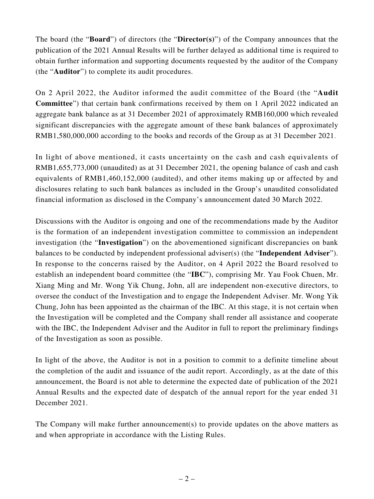The board (the "**Board**") of directors (the "**Director(s)**") of the Company announces that the publication of the 2021 Annual Results will be further delayed as additional time is required to obtain further information and supporting documents requested by the auditor of the Company (the "**Auditor**") to complete its audit procedures.

On 2 April 2022, the Auditor informed the audit committee of the Board (the "**Audit Committee**") that certain bank confirmations received by them on 1 April 2022 indicated an aggregate bank balance as at 31 December 2021 of approximately RMB160,000 which revealed significant discrepancies with the aggregate amount of these bank balances of approximately RMB1,580,000,000 according to the books and records of the Group as at 31 December 2021.

In light of above mentioned, it casts uncertainty on the cash and cash equivalents of RMB1,655,773,000 (unaudited) as at 31 December 2021, the opening balance of cash and cash equivalents of RMB1,460,152,000 (audited), and other items making up or affected by and disclosures relating to such bank balances as included in the Group's unaudited consolidated financial information as disclosed in the Company's announcement dated 30 March 2022.

Discussions with the Auditor is ongoing and one of the recommendations made by the Auditor is the formation of an independent investigation committee to commission an independent investigation (the "**Investigation**") on the abovementioned significant discrepancies on bank balances to be conducted by independent professional adviser(s) (the "**Independent Adviser**"). In response to the concerns raised by the Auditor, on 4 April 2022 the Board resolved to establish an independent board committee (the "**IBC**"), comprising Mr. Yau Fook Chuen, Mr. Xiang Ming and Mr. Wong Yik Chung, John, all are independent non-executive directors, to oversee the conduct of the Investigation and to engage the Independent Adviser. Mr. Wong Yik Chung, John has been appointed as the chairman of the IBC. At this stage, it is not certain when the Investigation will be completed and the Company shall render all assistance and cooperate with the IBC, the Independent Adviser and the Auditor in full to report the preliminary findings of the Investigation as soon as possible.

In light of the above, the Auditor is not in a position to commit to a definite timeline about the completion of the audit and issuance of the audit report. Accordingly, as at the date of this announcement, the Board is not able to determine the expected date of publication of the 2021 Annual Results and the expected date of despatch of the annual report for the year ended 31 December 2021.

The Company will make further announcement(s) to provide updates on the above matters as and when appropriate in accordance with the Listing Rules.